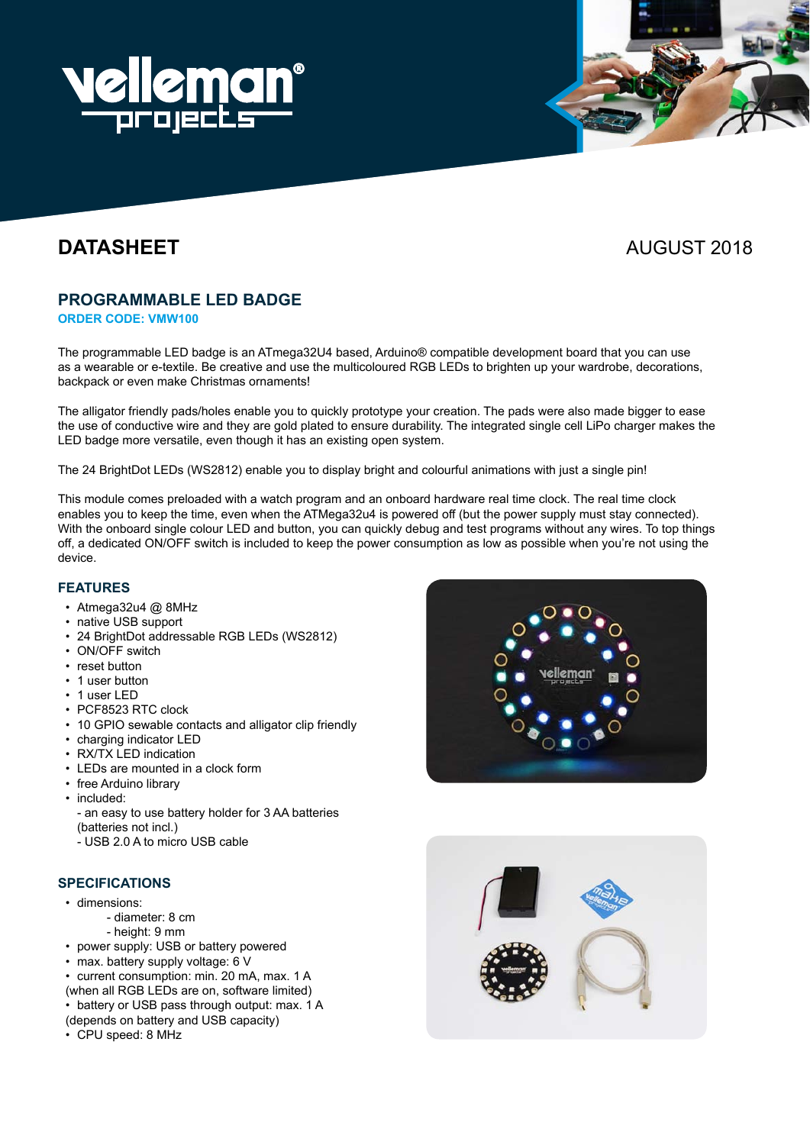

# **DATASHEET** AUGUST 2018

# **PROGRAMMABLE LED BADGE**

**Order code: VMW100**

The programmable LED badge is an ATmega32U4 based, Arduino® compatible development board that you can use as a wearable or e-textile. Be creative and use the multicoloured RGB LEDs to brighten up your wardrobe, decorations, backpack or even make Christmas ornaments!

The alligator friendly pads/holes enable you to quickly prototype your creation. The pads were also made bigger to ease the use of conductive wire and they are gold plated to ensure durability. The integrated single cell LiPo charger makes the LED badge more versatile, even though it has an existing open system.

The 24 BrightDot LEDs (WS2812) enable you to display bright and colourful animations with just a single pin!

This module comes preloaded with a watch program and an onboard hardware real time clock. The real time clock enables you to keep the time, even when the ATMega32u4 is powered off (but the power supply must stay connected). With the onboard single colour LED and button, you can quickly debug and test programs without any wires. To top things off, a dedicated ON/OFF switch is included to keep the power consumption as low as possible when you're not using the device.

### **Features**

- Atmega32u4 @ 8MHz
- native USB support
- • 24 BrightDot addressable RGB LEDs (WS2812)
- ON/OFF switch
- • reset button
- 1 user button
- 1 user LED
- • PCF8523 RTC clock
- 10 GPIO sewable contacts and alligator clip friendly
- • charging indicator LED
- $\cdot$  RX/TX LED indication
- • LEDs are mounted in a clock form
- free Arduino library
- included:
	- an easy to use battery holder for 3 AA batteries (batteries not incl.)
	- USB 2.0 A to micro USB cable

### **Specifications**

- • dimensions:
	- diameter: 8 cm
		- height: 9 mm
	- power supply: USB or battery powered
- max. battery supply voltage:  $6$  V
- current consumption: min. 20 mA, max. 1 A (when all RGB LEDs are on, software limited)
- $\cdot$  battery or USB pass through output: max. 1 A
- (depends on battery and USB capacity)
- • CPU speed: 8 MHz